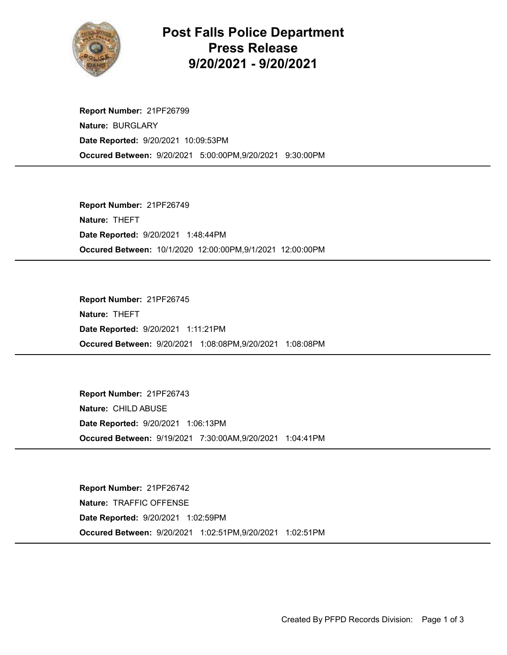

## Post Falls Police Department Press Release 9/20/2021 - 9/20/2021

Occured Between: 9/20/2021 5:00:00PM,9/20/2021 9:30:00PM Report Number: 21PF26799 Nature: BURGLARY Date Reported: 9/20/2021 10:09:53PM

Occured Between: 10/1/2020 12:00:00PM,9/1/2021 12:00:00PM Report Number: 21PF26749 Nature: THEFT Date Reported: 9/20/2021 1:48:44PM

Occured Between: 9/20/2021 1:08:08PM,9/20/2021 1:08:08PM Report Number: 21PF26745 Nature: THEFT Date Reported: 9/20/2021 1:11:21PM

Occured Between: 9/19/2021 7:30:00AM,9/20/2021 1:04:41PM Report Number: 21PF26743 Nature: CHILD ABUSE Date Reported: 9/20/2021 1:06:13PM

Occured Between: 9/20/2021 1:02:51PM,9/20/2021 1:02:51PM Report Number: 21PF26742 Nature: TRAFFIC OFFENSE Date Reported: 9/20/2021 1:02:59PM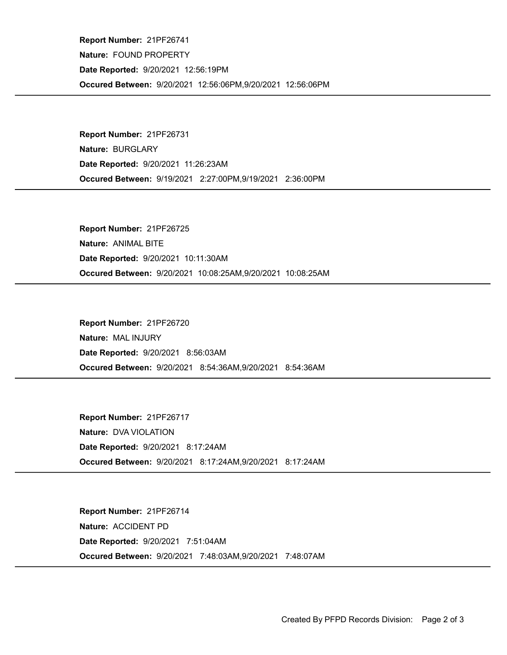Occured Between: 9/20/2021 12:56:06PM,9/20/2021 12:56:06PM Report Number: 21PF26741 Nature: FOUND PROPERTY Date Reported: 9/20/2021 12:56:19PM

Occured Between: 9/19/2021 2:27:00PM,9/19/2021 2:36:00PM Report Number: 21PF26731 Nature: BURGLARY Date Reported: 9/20/2021 11:26:23AM

Occured Between: 9/20/2021 10:08:25AM,9/20/2021 10:08:25AM Report Number: 21PF26725 Nature: ANIMAL BITE Date Reported: 9/20/2021 10:11:30AM

Occured Between: 9/20/2021 8:54:36AM,9/20/2021 8:54:36AM Report Number: 21PF26720 Nature: MAL INJURY Date Reported: 9/20/2021 8:56:03AM

Occured Between: 9/20/2021 8:17:24AM,9/20/2021 8:17:24AM Report Number: 21PF26717 Nature: DVA VIOLATION Date Reported: 9/20/2021 8:17:24AM

Occured Between: 9/20/2021 7:48:03AM,9/20/2021 7:48:07AM Report Number: 21PF26714 Nature: ACCIDENT PD Date Reported: 9/20/2021 7:51:04AM